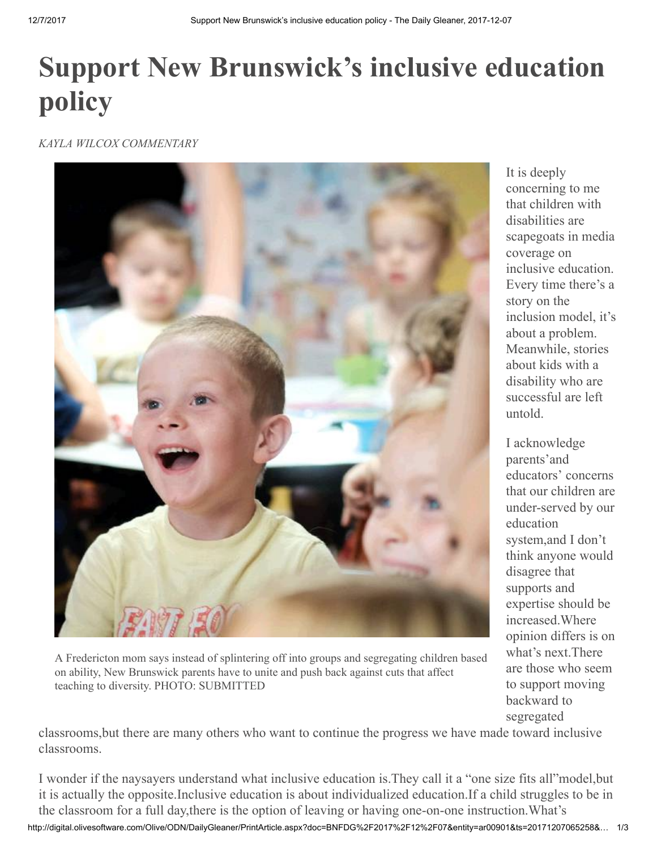## Support New Brunswick's inclusive education policy

*KAYLA WILCOX COMMENTARY*



A Fredericton mom says instead of splintering off into groups and segregating children based on ability, New Brunswick parents have to unite and push back against cuts that affect teaching to diversity. PHOTO: SUBMITTED

It is deeply concerning to me that children with disabilities are scapegoats in media coverage on inclusive education. Every time there's a story on the inclusion model, it's about a problem. Meanwhile, stories about kids with a disability who are successful are left untold.

I acknowledge parents'and educators' concerns that our children are under-served by our education system,and I don't think anyone would disagree that supports and expertise should be increased.Where opinion differs is on what's next.There are those who seem to support moving backward to segregated

classrooms,but there are many others who want to continue the progress we have made toward inclusive classrooms.

http://digital.olivesoftware.com/Olive/ODN/DailyGleaner/PrintArticle.aspx?doc=BNFDG%2F2017%2F12%2F07&entity=ar00901&ts=20171207065258&… 1/3 I wonder if the naysayers understand what inclusive education is.They call it a "one size fits all"model,but it is actually the opposite.Inclusive education is about individualized education.If a child struggles to be in the classroom for a full day,there is the option of leaving or having one-on-one instruction.What's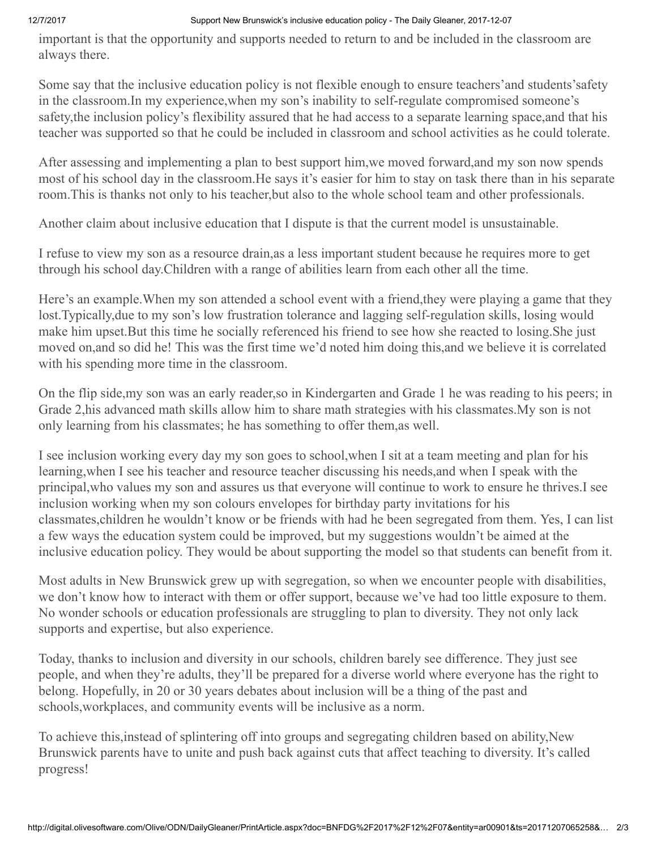## 12/7/2017 Support New Brunswick's inclusive education policy - The Daily Gleaner, 2017-12-07

important is that the opportunity and supports needed to return to and be included in the classroom are always there.

Some say that the inclusive education policy is not flexible enough to ensure teachers'and students'safety in the classroom.In my experience,when my son's inability to self-regulate compromised someone's safety,the inclusion policy's flexibility assured that he had access to a separate learning space,and that his teacher was supported so that he could be included in classroom and school activities as he could tolerate.

After assessing and implementing a plan to best support him,we moved forward,and my son now spends most of his school day in the classroom.He says it's easier for him to stay on task there than in his separate room.This is thanks not only to his teacher,but also to the whole school team and other professionals.

Another claim about inclusive education that I dispute is that the current model is unsustainable.

I refuse to view my son as a resource drain,as a less important student because he requires more to get through his school day.Children with a range of abilities learn from each other all the time.

Here's an example.When my son attended a school event with a friend,they were playing a game that they lost.Typically,due to my son's low frustration tolerance and lagging self-regulation skills, losing would make him upset.But this time he socially referenced his friend to see how she reacted to losing.She just moved on,and so did he! This was the first time we'd noted him doing this,and we believe it is correlated with his spending more time in the classroom.

On the flip side,my son was an early reader,so in Kindergarten and Grade 1 he was reading to his peers; in Grade 2,his advanced math skills allow him to share math strategies with his classmates.My son is not only learning from his classmates; he has something to offer them,as well.

I see inclusion working every day my son goes to school,when I sit at a team meeting and plan for his learning,when I see his teacher and resource teacher discussing his needs,and when I speak with the principal,who values my son and assures us that everyone will continue to work to ensure he thrives.I see inclusion working when my son colours envelopes for birthday party invitations for his classmates,children he wouldn't know or be friends with had he been segregated from them. Yes, I can list a few ways the education system could be improved, but my suggestions wouldn't be aimed at the inclusive education policy. They would be about supporting the model so that students can benefit from it.

Most adults in New Brunswick grew up with segregation, so when we encounter people with disabilities, we don't know how to interact with them or offer support, because we've had too little exposure to them. No wonder schools or education professionals are struggling to plan to diversity. They not only lack supports and expertise, but also experience.

Today, thanks to inclusion and diversity in our schools, children barely see difference. They just see people, and when they're adults, they'll be prepared for a diverse world where everyone has the right to belong. Hopefully, in 20 or 30 years debates about inclusion will be a thing of the past and schools,workplaces, and community events will be inclusive as a norm.

To achieve this,instead of splintering off into groups and segregating children based on ability,New Brunswick parents have to unite and push back against cuts that affect teaching to diversity. It's called progress!